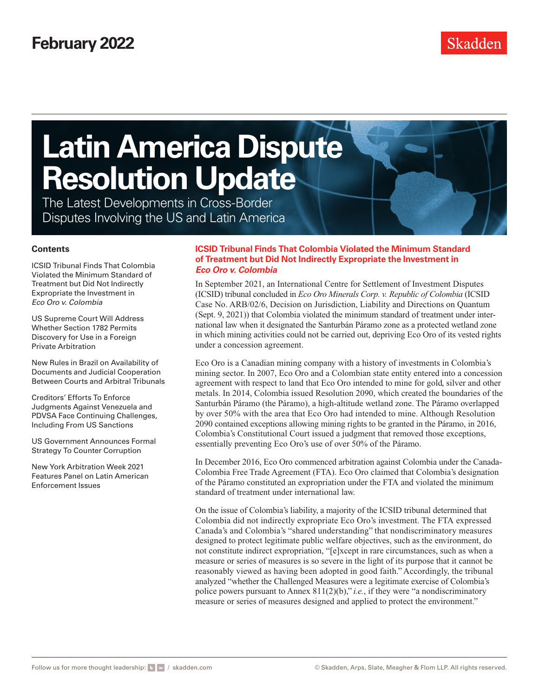The Latest Developments in Cross-Border Disputes Involving the US and Latin America

#### **Contents**

ICSID Tribunal Finds That Colombia Violated the Minimum Standard of Treatment but Did Not Indirectly Expropriate the Investment in *Eco Oro v. Colombia*

[US Supreme Court Will Address](#page-1-0)  [Whether Section 1782 Permits](#page-1-0)  [Discovery for Use in a Foreign](#page-1-0)  [Private Arbitration](#page-1-0)

[New Rules in Brazil on Availability of](#page-2-0)  [Documents and Judicial Cooperation](#page-2-0)  [Between Courts and Arbitral Tribunals](#page-2-0)

[Creditors' Efforts To Enforce](#page-3-0)  [Judgments Against Venezuela and](#page-3-0)  [PDVSA Face Continuing Challenges,](#page-3-0)  [Including From US Sanctions](#page-3-0)

[US Government Announces Formal](#page-4-0)  [Strategy To Counter Corruption](#page-4-0)

[New York Arbitration Week 2021](#page-5-0)  [Features Panel on Latin American](#page-5-0)  [Enforcement Issues](#page-5-0)

### **ICSID Tribunal Finds That Colombia Violated the Minimum Standard of Treatment but Did Not Indirectly Expropriate the Investment in**  *Eco Oro v. Colombia*

In September 2021, an International Centre for Settlement of Investment Disputes (ICSID) tribunal concluded in *Eco Oro Minerals Corp. v. Republic of Colombia* (ICSID Case No. ARB/02/6, Decision on Jurisdiction, Liability and Directions on Quantum (Sept. 9, 2021)) that Colombia violated the minimum standard of treatment under international law when it designated the Santurbán Páramo zone as a protected wetland zone in which mining activities could not be carried out, depriving Eco Oro of its vested rights under a concession agreement.

Eco Oro is a Canadian mining company with a history of investments in Colombia's mining sector. In 2007, Eco Oro and a Colombian state entity entered into a concession agreement with respect to land that Eco Oro intended to mine for gold, silver and other metals. In 2014, Colombia issued Resolution 2090, which created the boundaries of the Santurbán Páramo (the Páramo), a high-altitude wetland zone. The Páramo overlapped by over 50% with the area that Eco Oro had intended to mine. Although Resolution 2090 contained exceptions allowing mining rights to be granted in the Páramo, in 2016, Colombia's Constitutional Court issued a judgment that removed those exceptions, essentially preventing Eco Oro's use of over 50% of the Páramo.

In December 2016, Eco Oro commenced arbitration against Colombia under the Canada-Colombia Free Trade Agreement (FTA). Eco Oro claimed that Colombia's designation of the Páramo constituted an expropriation under the FTA and violated the minimum standard of treatment under international law.

On the issue of Colombia's liability, a majority of the ICSID tribunal determined that Colombia did not indirectly expropriate Eco Oro's investment. The FTA expressed Canada's and Colombia's "shared understanding" that nondiscriminatory measures designed to protect legitimate public welfare objectives, such as the environment, do not constitute indirect expropriation, "[e]xcept in rare circumstances, such as when a measure or series of measures is so severe in the light of its purpose that it cannot be reasonably viewed as having been adopted in good faith." Accordingly, the tribunal analyzed "whether the Challenged Measures were a legitimate exercise of Colombia's police powers pursuant to Annex 811(2)(b)," *i.e.*, if they were "a nondiscriminatory measure or series of measures designed and applied to protect the environment."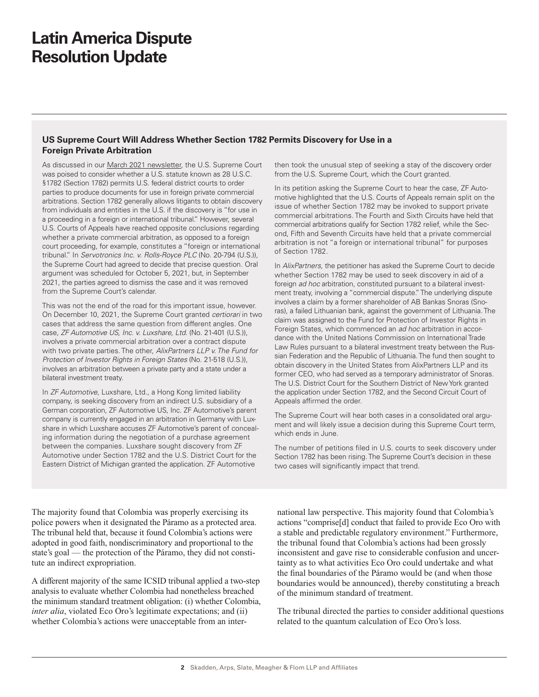## <span id="page-1-0"></span>**US Supreme Court Will Address Whether Section 1782 Permits Discovery for Use in a Foreign Private Arbitration**

As discussed in our [March 2021 newsletter,](https://www.skadden.com/insights/publications/2021/03/latin-america-dispute-resolution-update) the U.S. Supreme Court was poised to consider whether a U.S. statute known as 28 U.S.C. §1782 (Section 1782) permits U.S. federal district courts to order parties to produce documents for use in foreign private commercial arbitrations. Section 1782 generally allows litigants to obtain discovery from individuals and entities in the U.S. if the discovery is "for use in a proceeding in a foreign or international tribunal." However, several U.S. Courts of Appeals have reached opposite conclusions regarding whether a private commercial arbitration, as opposed to a foreign court proceeding, for example, constitutes a "foreign or international tribunal." In *Servotronics Inc. v. Rolls-Royce PLC* (No. 20-794 (U.S.)), the Supreme Court had agreed to decide that precise question. Oral argument was scheduled for October 5, 2021, but, in September 2021, the parties agreed to dismiss the case and it was removed from the Supreme Court's calendar.

This was not the end of the road for this important issue, however. On December 10, 2021, the Supreme Court granted *certiorari* in two cases that address the same question from different angles. One case, *ZF Automotive US, Inc. v. Luxshare, Ltd.* (No. 21-401 (U.S.)), involves a private commercial arbitration over a contract dispute with two private parties. The other, *AlixPartners LLP v. The Fund for Protection of Investor Rights in Foreign States* (No. 21-518 (U.S.)), involves an arbitration between a private party and a state under a bilateral investment treaty.

In *ZF Automotive*, Luxshare, Ltd., a Hong Kong limited liability company, is seeking discovery from an indirect U.S. subsidiary of a German corporation, ZF Automotive US, Inc. ZF Automotive's parent company is currently engaged in an arbitration in Germany with Luxshare in which Luxshare accuses ZF Automotive's parent of concealing information during the negotiation of a purchase agreement between the companies. Luxshare sought discovery from ZF Automotive under Section 1782 and the U.S. District Court for the Eastern District of Michigan granted the application. ZF Automotive

then took the unusual step of seeking a stay of the discovery order from the U.S. Supreme Court, which the Court granted.

In its petition asking the Supreme Court to hear the case, ZF Automotive highlighted that the U.S. Courts of Appeals remain split on the issue of whether Section 1782 may be invoked to support private commercial arbitrations. The Fourth and Sixth Circuits have held that commercial arbitrations qualify for Section 1782 relief, while the Second, Fifth and Seventh Circuits have held that a private commercial arbitration is not "a foreign or international tribunal" for purposes of Section 1782.

In *AlixPartners*, the petitioner has asked the Supreme Court to decide whether Section 1782 may be used to seek discovery in aid of a foreign *ad hoc* arbitration, constituted pursuant to a bilateral investment treaty, involving a "commercial dispute." The underlying dispute involves a claim by a former shareholder of AB Bankas Snoras (Snoras), a failed Lithuanian bank, against the government of Lithuania. The claim was assigned to the Fund for Protection of Investor Rights in Foreign States, which commenced an *ad hoc* arbitration in accordance with the United Nations Commission on International Trade Law Rules pursuant to a bilateral investment treaty between the Russian Federation and the Republic of Lithuania. The fund then sought to obtain discovery in the United States from AlixPartners LLP and its former CEO, who had served as a temporary administrator of Snoras. The U.S. District Court for the Southern District of New York granted the application under Section 1782, and the Second Circuit Court of Appeals affirmed the order.

The Supreme Court will hear both cases in a consolidated oral argument and will likely issue a decision during this Supreme Court term, which ends in June.

The number of petitions filed in U.S. courts to seek discovery under Section 1782 has been rising. The Supreme Court's decision in these two cases will significantly impact that trend.

The majority found that Colombia was properly exercising its police powers when it designated the Páramo as a protected area. The tribunal held that, because it found Colombia's actions were adopted in good faith, nondiscriminatory and proportional to the state's goal — the protection of the Páramo, they did not constitute an indirect expropriation.

A different majority of the same ICSID tribunal applied a two-step analysis to evaluate whether Colombia had nonetheless breached the minimum standard treatment obligation: (i) whether Colombia, *inter alia*, violated Eco Oro's legitimate expectations; and (ii) whether Colombia's actions were unacceptable from an international law perspective. This majority found that Colombia's actions "comprise[d] conduct that failed to provide Eco Oro with a stable and predictable regulatory environment." Furthermore, the tribunal found that Colombia's actions had been grossly inconsistent and gave rise to considerable confusion and uncertainty as to what activities Eco Oro could undertake and what the final boundaries of the Páramo would be (and when those boundaries would be announced), thereby constituting a breach of the minimum standard of treatment.

The tribunal directed the parties to consider additional questions related to the quantum calculation of Eco Oro's loss.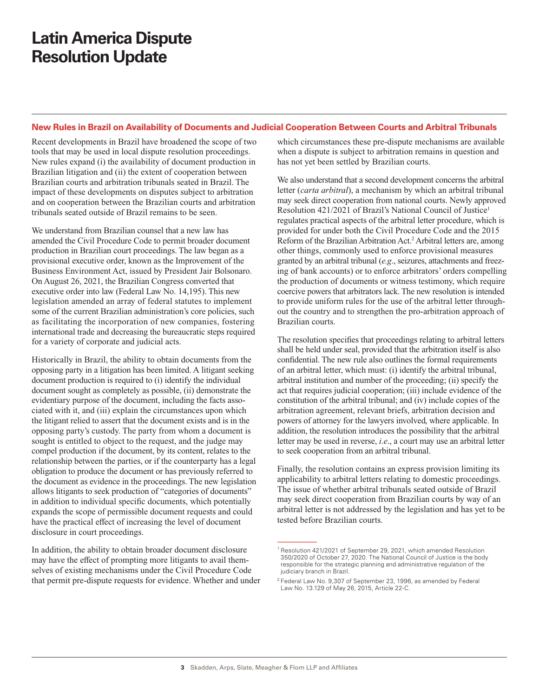## <span id="page-2-0"></span>**New Rules in Brazil on Availability of Documents and Judicial Cooperation Between Courts and Arbitral Tribunals**

Recent developments in Brazil have broadened the scope of two tools that may be used in local dispute resolution proceedings. New rules expand (i) the availability of document production in Brazilian litigation and (ii) the extent of cooperation between Brazilian courts and arbitration tribunals seated in Brazil. The impact of these developments on disputes subject to arbitration and on cooperation between the Brazilian courts and arbitration tribunals seated outside of Brazil remains to be seen.

We understand from Brazilian counsel that a new law has amended the Civil Procedure Code to permit broader document production in Brazilian court proceedings. The law began as a provisional executive order, known as the Improvement of the Business Environment Act, issued by President Jair Bolsonaro. On August 26, 2021, the Brazilian Congress converted that executive order into law (Federal Law No. 14,195). This new legislation amended an array of federal statutes to implement some of the current Brazilian administration's core policies, such as facilitating the incorporation of new companies, fostering international trade and decreasing the bureaucratic steps required for a variety of corporate and judicial acts.

Historically in Brazil, the ability to obtain documents from the opposing party in a litigation has been limited. A litigant seeking document production is required to (i) identify the individual document sought as completely as possible, (ii) demonstrate the evidentiary purpose of the document, including the facts associated with it, and (iii) explain the circumstances upon which the litigant relied to assert that the document exists and is in the opposing party's custody. The party from whom a document is sought is entitled to object to the request, and the judge may compel production if the document, by its content, relates to the relationship between the parties, or if the counterparty has a legal obligation to produce the document or has previously referred to the document as evidence in the proceedings. The new legislation allows litigants to seek production of "categories of documents" in addition to individual specific documents, which potentially expands the scope of permissible document requests and could have the practical effect of increasing the level of document disclosure in court proceedings.

In addition, the ability to obtain broader document disclosure may have the effect of prompting more litigants to avail themselves of existing mechanisms under the Civil Procedure Code that permit pre-dispute requests for evidence. Whether and under which circumstances these pre-dispute mechanisms are available when a dispute is subject to arbitration remains in question and has not yet been settled by Brazilian courts.

We also understand that a second development concerns the arbitral letter (*carta arbitral*), a mechanism by which an arbitral tribunal may seek direct cooperation from national courts. Newly approved Resolution 421/2021 of Brazil's National Council of Justice1 regulates practical aspects of the arbitral letter procedure, which is provided for under both the Civil Procedure Code and the 2015 Reform of the Brazilian Arbitration Act.<sup>2</sup> Arbitral letters are, among other things, commonly used to enforce provisional measures granted by an arbitral tribunal (*e.g*., seizures, attachments and freezing of bank accounts) or to enforce arbitrators' orders compelling the production of documents or witness testimony, which require coercive powers that arbitrators lack. The new resolution is intended to provide uniform rules for the use of the arbitral letter throughout the country and to strengthen the pro-arbitration approach of Brazilian courts.

The resolution specifies that proceedings relating to arbitral letters shall be held under seal, provided that the arbitration itself is also confidential. The new rule also outlines the formal requirements of an arbitral letter, which must: (i) identify the arbitral tribunal, arbitral institution and number of the proceeding; (ii) specify the act that requires judicial cooperation; (iii) include evidence of the constitution of the arbitral tribunal; and (iv) include copies of the arbitration agreement, relevant briefs, arbitration decision and powers of attorney for the lawyers involved, where applicable. In addition, the resolution introduces the possibility that the arbitral letter may be used in reverse, *i.e*., a court may use an arbitral letter to seek cooperation from an arbitral tribunal.

Finally, the resolution contains an express provision limiting its applicability to arbitral letters relating to domestic proceedings. The issue of whether arbitral tribunals seated outside of Brazil may seek direct cooperation from Brazilian courts by way of an arbitral letter is not addressed by the legislation and has yet to be tested before Brazilian courts.

<sup>1</sup> Resolution 421/2021 of September 29, 2021, which amended Resolution 350/2020 of October 27, 2020. The National Council of Justice is the body responsible for the strategic planning and administrative regulation of the judiciary branch in Brazil.

<sup>2</sup> Federal Law No. 9,307 of September 23, 1996, as amended by Federal Law No. 13.129 of May 26, 2015, Article 22-C.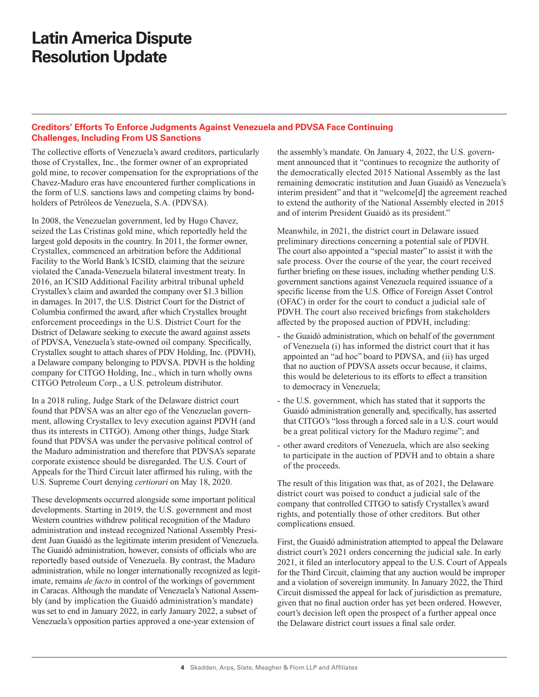## <span id="page-3-0"></span>**Creditors' Efforts To Enforce Judgments Against Venezuela and PDVSA Face Continuing Challenges, Including From US Sanctions**

The collective efforts of Venezuela's award creditors, particularly those of Crystallex, Inc., the former owner of an expropriated gold mine, to recover compensation for the expropriations of the Chavez-Maduro eras have encountered further complications in the form of U.S. sanctions laws and competing claims by bondholders of Petróleos de Venezuela, S.A. (PDVSA).

In 2008, the Venezuelan government, led by Hugo Chavez, seized the Las Cristinas gold mine, which reportedly held the largest gold deposits in the country. In 2011, the former owner, Crystallex, commenced an arbitration before the Additional Facility to the World Bank's ICSID, claiming that the seizure violated the Canada-Venezuela bilateral investment treaty. In 2016, an ICSID Additional Facility arbitral tribunal upheld Crystallex's claim and awarded the company over \$1.3 billion in damages. In 2017, the U.S. District Court for the District of Columbia confirmed the award, after which Crystallex brought enforcement proceedings in the U.S. District Court for the District of Delaware seeking to execute the award against assets of PDVSA, Venezuela's state-owned oil company. Specifically, Crystallex sought to attach shares of PDV Holding, Inc. (PDVH), a Delaware company belonging to PDVSA. PDVH is the holding company for CITGO Holding, Inc., which in turn wholly owns CITGO Petroleum Corp., a U.S. petroleum distributor.

In a 2018 ruling, Judge Stark of the Delaware district court found that PDVSA was an alter ego of the Venezuelan government, allowing Crystallex to levy execution against PDVH (and thus its interests in CITGO). Among other things, Judge Stark found that PDVSA was under the pervasive political control of the Maduro administration and therefore that PDVSA's separate corporate existence should be disregarded. The U.S. Court of Appeals for the Third Circuit later affirmed his ruling, with the U.S. Supreme Court denying *certiorari* on May 18, 2020.

These developments occurred alongside some important political developments. Starting in 2019, the U.S. government and most Western countries withdrew political recognition of the Maduro administration and instead recognized National Assembly President Juan Guaidó as the legitimate interim president of Venezuela. The Guaidó administration, however, consists of officials who are reportedly based outside of Venezuela. By contrast, the Maduro administration, while no longer internationally recognized as legitimate, remains *de facto* in control of the workings of government in Caracas. Although the mandate of Venezuela's National Assembly (and by implication the Guaidó administration's mandate) was set to end in January 2022, in early January 2022, a subset of Venezuela's opposition parties approved a one-year extension of

the assembly's mandate. On January 4, 2022, the U.S. government announced that it "continues to recognize the authority of the democratically elected 2015 National Assembly as the last remaining democratic institution and Juan Guaidó as Venezuela's interim president" and that it "welcome[d] the agreement reached to extend the authority of the National Assembly elected in 2015 and of interim President Guaidó as its president."

Meanwhile, in 2021, the district court in Delaware issued preliminary directions concerning a potential sale of PDVH. The court also appointed a "special master" to assist it with the sale process. Over the course of the year, the court received further briefing on these issues, including whether pending U.S. government sanctions against Venezuela required issuance of a specific license from the U.S. Office of Foreign Asset Control (OFAC) in order for the court to conduct a judicial sale of PDVH. The court also received briefings from stakeholders affected by the proposed auction of PDVH, including:

- the Guaidó administration, which on behalf of the government of Venezuela (i) has informed the district court that it has appointed an "ad hoc" board to PDVSA, and (ii) has urged that no auction of PDVSA assets occur because, it claims, this would be deleterious to its efforts to effect a transition to democracy in Venezuela;
- the U.S. government, which has stated that it supports the Guaidó administration generally and, specifically, has asserted that CITGO's "loss through a forced sale in a U.S. court would be a great political victory for the Maduro regime"; and
- other award creditors of Venezuela, which are also seeking to participate in the auction of PDVH and to obtain a share of the proceeds.

The result of this litigation was that, as of 2021, the Delaware district court was poised to conduct a judicial sale of the company that controlled CITGO to satisfy Crystallex's award rights, and potentially those of other creditors. But other complications ensued.

First, the Guaidó administration attempted to appeal the Delaware district court's 2021 orders concerning the judicial sale. In early 2021, it filed an interlocutory appeal to the U.S. Court of Appeals for the Third Circuit, claiming that any auction would be improper and a violation of sovereign immunity. In January 2022, the Third Circuit dismissed the appeal for lack of jurisdiction as premature, given that no final auction order has yet been ordered. However, court's decision left open the prospect of a further appeal once the Delaware district court issues a final sale order.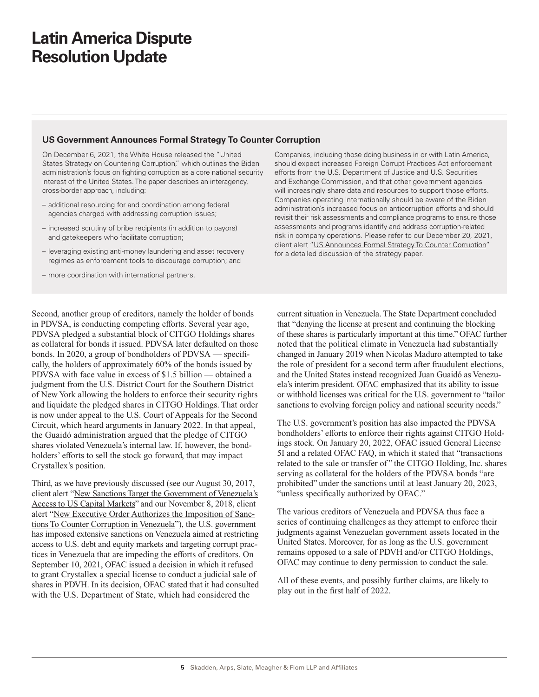## <span id="page-4-0"></span>**US Government Announces Formal Strategy To Counter Corruption**

On December 6, 2021, the White House released the "United States Strategy on Countering Corruption," which outlines the Biden administration's focus on fighting corruption as a core national security interest of the United States. The paper describes an interagency, cross-border approach, including:

- additional resourcing for and coordination among federal agencies charged with addressing corruption issues;
- increased scrutiny of bribe recipients (in addition to payors) and gatekeepers who facilitate corruption;
- leveraging existing anti-money laundering and asset recovery regimes as enforcement tools to discourage corruption; and
- more coordination with international partners.

Second, another group of creditors, namely the holder of bonds in PDVSA, is conducting competing efforts. Several year ago, PDVSA pledged a substantial block of CITGO Holdings shares as collateral for bonds it issued. PDVSA later defaulted on those bonds. In 2020, a group of bondholders of PDVSA — specifically, the holders of approximately 60% of the bonds issued by PDVSA with face value in excess of \$1.5 billion — obtained a judgment from the U.S. District Court for the Southern District of New York allowing the holders to enforce their security rights and liquidate the pledged shares in CITGO Holdings. That order is now under appeal to the U.S. Court of Appeals for the Second Circuit, which heard arguments in January 2022. In that appeal, the Guaidó administration argued that the pledge of CITGO shares violated Venezuela's internal law. If, however, the bondholders' efforts to sell the stock go forward, that may impact Crystallex's position.

Third, as we have previously discussed (see our [August 30, 2017,](https://www.skadden.com/insights/publications/2017/08/newsanctionstargetgovvenezuelasaccessuscapmarkets) [client alert "New Sanctions Target the Government of Venezuela's](https://www.skadden.com/insights/publications/2017/08/newsanctionstargetgovvenezuelasaccessuscapmarkets) [Access to US Capital Markets"](https://www.skadden.com/insights/publications/2017/08/newsanctionstargetgovvenezuelasaccessuscapmarkets) and our [November 8, 2018, client](https://www.skadden.com/insights/publications/2018/11/new-executive-order) [alert "New Executive Order Authorizes the Imposition of Sanc](https://www.skadden.com/insights/publications/2018/11/new-executive-order)[tions To Counter Corruption in Venezuela"](https://www.skadden.com/insights/publications/2018/11/new-executive-order)), the U.S. government has imposed extensive sanctions on Venezuela aimed at restricting access to U.S. debt and equity markets and targeting corrupt practices in Venezuela that are impeding the efforts of creditors. On September 10, 2021, OFAC issued a decision in which it refused to grant Crystallex a special license to conduct a judicial sale of shares in PDVH. In its decision, OFAC stated that it had consulted with the U.S. Department of State, which had considered the

Companies, including those doing business in or with Latin America, should expect increased Foreign Corrupt Practices Act enforcement efforts from the U.S. Department of Justice and U.S. Securities and Exchange Commission, and that other government agencies will increasingly share data and resources to support those efforts. Companies operating internationally should be aware of the Biden administration's increased focus on anticorruption efforts and should revisit their risk assessments and compliance programs to ensure those assessments and programs identify and address corruption-related risk in company operations. Please refer to our December 20, 2021, client alert "[US Announces Formal Strategy To Counter Corruption](https://www.skadden.com/insights/publications/2021/12/us-announces-formal-strategy-to-counter-corruption)" for a detailed discussion of the strategy paper.

current situation in Venezuela. The State Department concluded that "denying the license at present and continuing the blocking of these shares is particularly important at this time." OFAC further noted that the political climate in Venezuela had substantially changed in January 2019 when Nicolas Maduro attempted to take the role of president for a second term after fraudulent elections, and the United States instead recognized Juan Guaidó as Venezuela's interim president. OFAC emphasized that its ability to issue or withhold licenses was critical for the U.S. government to "tailor sanctions to evolving foreign policy and national security needs."

The U.S. government's position has also impacted the PDVSA bondholders' efforts to enforce their rights against CITGO Holdings stock. On January 20, 2022, OFAC issued General License 5I and a related OFAC FAQ, in which it stated that "transactions related to the sale or transfer of " the CITGO Holding, Inc. shares serving as collateral for the holders of the PDVSA bonds "are prohibited" under the sanctions until at least January 20, 2023, "unless specifically authorized by OFAC."

The various creditors of Venezuela and PDVSA thus face a series of continuing challenges as they attempt to enforce their judgments against Venezuelan government assets located in the United States. Moreover, for as long as the U.S. government remains opposed to a sale of PDVH and/or CITGO Holdings, OFAC may continue to deny permission to conduct the sale.

All of these events, and possibly further claims, are likely to play out in the first half of 2022.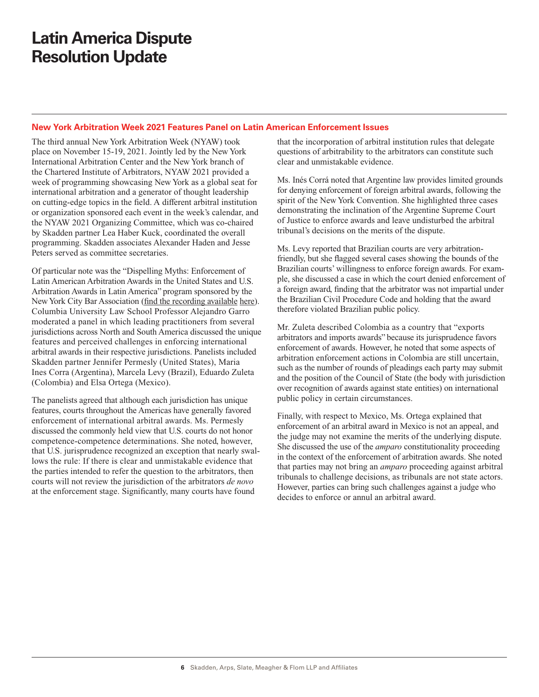## <span id="page-5-0"></span>**New York Arbitration Week 2021 Features Panel on Latin American Enforcement Issues**

The third annual New York Arbitration Week (NYAW) took place on November 15-19, 2021. Jointly led by the New York International Arbitration Center and the New York branch of the Chartered Institute of Arbitrators, NYAW 2021 provided a week of programming showcasing New York as a global seat for international arbitration and a generator of thought leadership on cutting-edge topics in the field. A different arbitral institution or organization sponsored each event in the week's calendar, and the NYAW 2021 Organizing Committee, which was co-chaired by Skadden partner Lea Haber Kuck, coordinated the overall programming. Skadden associates Alexander Haden and Jesse Peters served as committee secretaries.

Of particular note was the "Dispelling Myths: Enforcement of Latin American Arbitration Awards in the United States and U.S. Arbitration Awards in Latin America" program sponsored by the New York City Bar Association ([find the recording available](https://nyarbitrationweek.com/dispelling-myths-relating-to-enforcement-of-latin-american-arbitration-awards-in-the-united-states-and-u-s-arbitration-awards-in-latin-america/) here). Columbia University Law School Professor Alejandro Garro moderated a panel in which leading practitioners from several jurisdictions across North and South America discussed the unique features and perceived challenges in enforcing international arbitral awards in their respective jurisdictions. Panelists included Skadden partner Jennifer Permesly (United States), Maria Ines Corra (Argentina), Marcela Levy (Brazil), Eduardo Zuleta (Colombia) and Elsa Ortega (Mexico).

The panelists agreed that although each jurisdiction has unique features, courts throughout the Americas have generally favored enforcement of international arbitral awards. Ms. Permesly discussed the commonly held view that U.S. courts do not honor competence-competence determinations. She noted, however, that U.S. jurisprudence recognized an exception that nearly swallows the rule: If there is clear and unmistakable evidence that the parties intended to refer the question to the arbitrators, then courts will not review the jurisdiction of the arbitrators *de novo* at the enforcement stage. Significantly, many courts have found

that the incorporation of arbitral institution rules that delegate questions of arbitrability to the arbitrators can constitute such clear and unmistakable evidence.

Ms. Inés Corrá noted that Argentine law provides limited grounds for denying enforcement of foreign arbitral awards, following the spirit of the New York Convention. She highlighted three cases demonstrating the inclination of the Argentine Supreme Court of Justice to enforce awards and leave undisturbed the arbitral tribunal's decisions on the merits of the dispute.

Ms. Levy reported that Brazilian courts are very arbitrationfriendly, but she flagged several cases showing the bounds of the Brazilian courts' willingness to enforce foreign awards. For example, she discussed a case in which the court denied enforcement of a foreign award, finding that the arbitrator was not impartial under the Brazilian Civil Procedure Code and holding that the award therefore violated Brazilian public policy.

Mr. Zuleta described Colombia as a country that "exports arbitrators and imports awards" because its jurisprudence favors enforcement of awards. However, he noted that some aspects of arbitration enforcement actions in Colombia are still uncertain, such as the number of rounds of pleadings each party may submit and the position of the Council of State (the body with jurisdiction over recognition of awards against state entities) on international public policy in certain circumstances.

Finally, with respect to Mexico, Ms. Ortega explained that enforcement of an arbitral award in Mexico is not an appeal, and the judge may not examine the merits of the underlying dispute. She discussed the use of the *amparo* constitutionality proceeding in the context of the enforcement of arbitration awards. She noted that parties may not bring an *amparo* proceeding against arbitral tribunals to challenge decisions, as tribunals are not state actors. However, parties can bring such challenges against a judge who decides to enforce or annul an arbitral award.